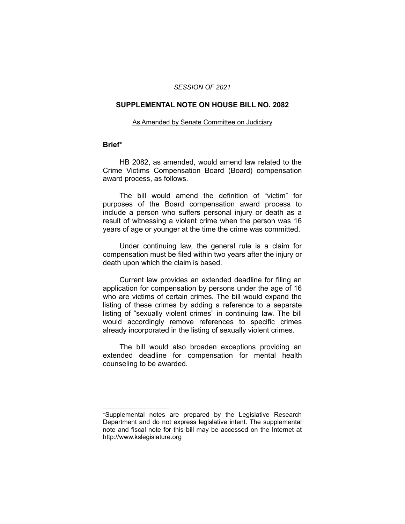#### *SESSION OF 2021*

#### **SUPPLEMENTAL NOTE ON HOUSE BILL NO. 2082**

#### As Amended by Senate Committee on Judiciary

### **Brief\***

HB 2082, as amended, would amend law related to the Crime Victims Compensation Board (Board) compensation award process, as follows.

The bill would amend the definition of "victim" for purposes of the Board compensation award process to include a person who suffers personal injury or death as a result of witnessing a violent crime when the person was 16 years of age or younger at the time the crime was committed.

Under continuing law, the general rule is a claim for compensation must be filed within two years after the injury or death upon which the claim is based.

Current law provides an extended deadline for filing an application for compensation by persons under the age of 16 who are victims of certain crimes. The bill would expand the listing of these crimes by adding a reference to a separate listing of "sexually violent crimes" in continuing law. The bill would accordingly remove references to specific crimes already incorporated in the listing of sexually violent crimes.

The bill would also broaden exceptions providing an extended deadline for compensation for mental health counseling to be awarded.

 $\overline{\phantom{a}}$  , where  $\overline{\phantom{a}}$  , where  $\overline{\phantom{a}}$ 

<sup>\*</sup>Supplemental notes are prepared by the Legislative Research Department and do not express legislative intent. The supplemental note and fiscal note for this bill may be accessed on the Internet at http://www.kslegislature.org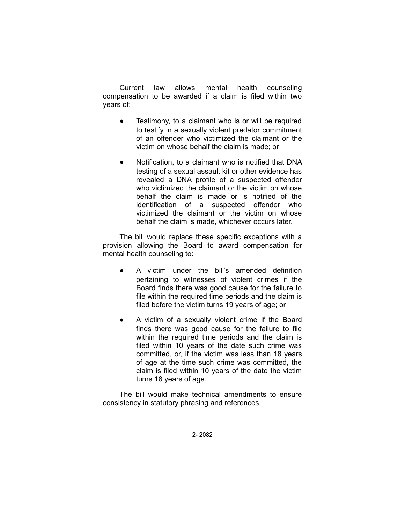Current law allows mental health counseling compensation to be awarded if a claim is filed within two years of:

- Testimony, to a claimant who is or will be required to testify in a sexually violent predator commitment of an offender who victimized the claimant or the victim on whose behalf the claim is made; or
- Notification, to a claimant who is notified that DNA testing of a sexual assault kit or other evidence has revealed a DNA profile of a suspected offender who victimized the claimant or the victim on whose behalf the claim is made or is notified of the identification of a suspected offender who victimized the claimant or the victim on whose behalf the claim is made, whichever occurs later.

The bill would replace these specific exceptions with a provision allowing the Board to award compensation for mental health counseling to:

- A victim under the bill's amended definition pertaining to witnesses of violent crimes if the Board finds there was good cause for the failure to file within the required time periods and the claim is filed before the victim turns 19 years of age; or
- A victim of a sexually violent crime if the Board finds there was good cause for the failure to file within the required time periods and the claim is filed within 10 years of the date such crime was committed, or, if the victim was less than 18 years of age at the time such crime was committed, the claim is filed within 10 years of the date the victim turns 18 years of age.

The bill would make technical amendments to ensure consistency in statutory phrasing and references.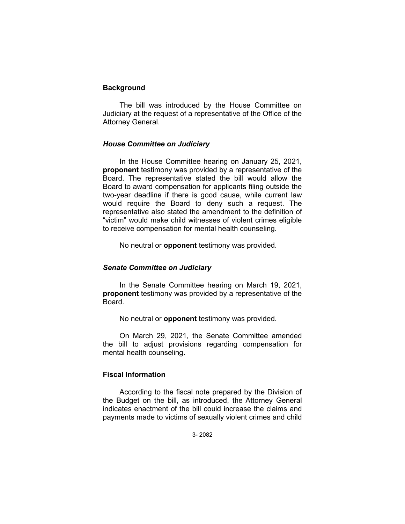# **Background**

The bill was introduced by the House Committee on Judiciary at the request of a representative of the Office of the Attorney General.

## *House Committee on Judiciary*

In the House Committee hearing on January 25, 2021, **proponent** testimony was provided by a representative of the Board. The representative stated the bill would allow the Board to award compensation for applicants filing outside the two-year deadline if there is good cause, while current law would require the Board to deny such a request. The representative also stated the amendment to the definition of "victim" would make child witnesses of violent crimes eligible to receive compensation for mental health counseling.

No neutral or **opponent** testimony was provided.

# *Senate Committee on Judiciary*

In the Senate Committee hearing on March 19, 2021, **proponent** testimony was provided by a representative of the Board.

No neutral or **opponent** testimony was provided.

On March 29, 2021, the Senate Committee amended the bill to adjust provisions regarding compensation for mental health counseling.

# **Fiscal Information**

According to the fiscal note prepared by the Division of the Budget on the bill, as introduced, the Attorney General indicates enactment of the bill could increase the claims and payments made to victims of sexually violent crimes and child

3- 2082